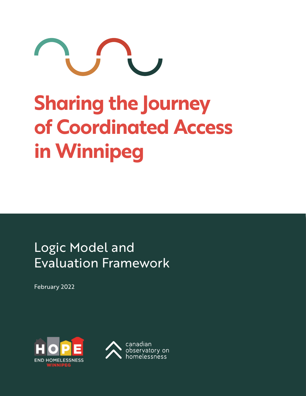

# **Sharing the Journey of Coordinated Access in Winnipeg**

# Logic Model and Evaluation Framework

February 2022



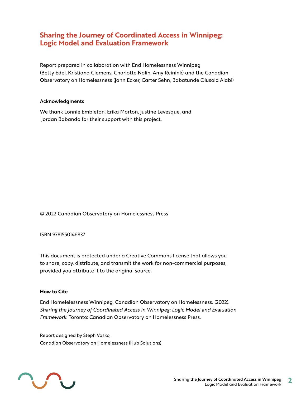## **Sharing the Journey of Coordinated Access in Winnipeg: Logic Model and Evaluation Framework**

Report prepared in collaboration with End Homelessness Winnipeg (Betty Edel, Kristiana Clemens, Charlotte Nolin, Amy Reinink) and the Canadian Observatory on Homelessness (John Ecker, Carter Sehn, Babatunde Olusola Alabi)

#### Acknowledgments

We thank Lonnie Embleton, Erika Morton, Justine Levesque, and Jordan Babando for their support with this project.

#### ©️ 2022 Canadian Observatory on Homelessness Press

#### ISBN 9781550146837

This document is protected under a Creative Commons license that allows you to share, copy, distribute, and transmit the work for non-commercial purposes, provided you attribute it to the original source.

#### **How to Cite**

End Homelelessness Winnipeg, Canadian Observatory on Homelessness. (2022). *Sharing the Journey of Coordinated Access in Winnipeg: Logic Model and Evaluation Framework.* Toronto: Canadian Observatory on Homelessness Press.

Report designed by Steph Vasko, Canadian Observatory on Homelessness (Hub Solutions)

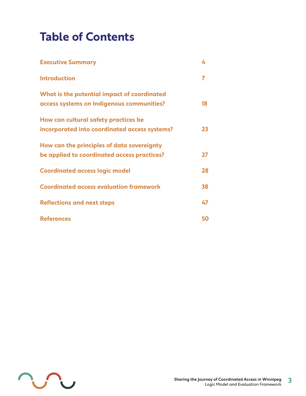# **Table of Contents**

| <b>Executive Summary</b>                                                                  | 4  |
|-------------------------------------------------------------------------------------------|----|
| <b>Introduction</b>                                                                       |    |
| What is the potential impact of coordinated<br>access systems on Indigenous communities?  | 18 |
| How can cultural safety practices be<br>incorporated into coordinated access systems?     | 23 |
| How can the principles of data sovereignty<br>be applied to coordinated access practices? | 27 |
| <b>Coordinated access logic model</b>                                                     | 28 |
| <b>Coordinated access evaluation framework</b>                                            | 38 |
| <b>Reflections and next steps</b>                                                         | 47 |
| <b>References</b>                                                                         | 50 |

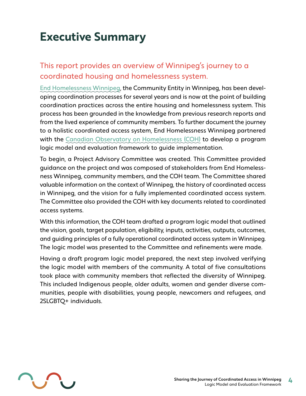# <span id="page-3-0"></span>**Executive Summary**

# This report provides an overview of Winnipeg's journey to a coordinated housing and homelessness system.

[End Homelessness Winnipeg,](https://endhomelessnesswinnipeg.ca/) the Community Entity in Winnipeg, has been developing coordination processes for several years and is now at the point of building coordination practices across the entire housing and homelessness system. This process has been grounded in the knowledge from previous research reports and from the lived experience of community members. To further document the journey to a holistic coordinated access system, [End Homelessness Winnipeg p](https://endhomelessnesswinnipeg.ca/)artnered with the [Canadian Observatory on Homelessness \(COH\)](http://www.homelesshub.ca/COH) to develop a program logic model and evaluation framework to guide implementation.

To begin, a Project Advisory Committee was created. This Committee provided guidance on the project and was composed of stakeholders from End Homelessness Winnipeg, community members, and the COH team. The Committee shared valuable information on the context of Winnipeg, the history of coordinated access in Winnipeg, and the vision for a fully implemented coordinated access system. The Committee also provided the COH with key documents related to coordinated access systems.

With this information, the COH team drafted a program logic model that outlined the vision, goals, target population, eligibility, inputs, activities, outputs, outcomes, and guiding principles of a fully operational coordinated access system in Winnipeg. The logic model was presented to the Committee and refinements were made.

Having a draft program logic model prepared, the next step involved verifying the logic model with members of the community. A total of five consultations took place with community members that reflected the diversity of Winnipeg. This included Indigenous people, older adults, women and gender diverse communities, people with disabilities, young people, newcomers and refugees, and 2SLGBTQ+ individuals.

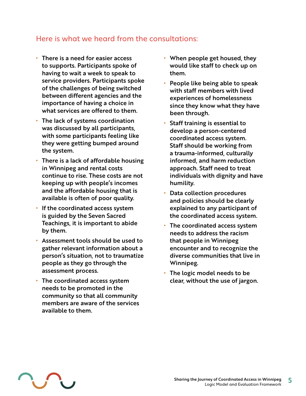# Here is what we heard from the consultations:

- **•** There is a need for easier access to supports. Participants spoke of having to wait a week to speak to service providers. Participants spoke of the challenges of being switched between different agencies and the importance of having a choice in what services are offered to them.
- **•** The lack of systems coordination was discussed by all participants, with some participants feeling like they were getting bumped around the system.
- **•** There is a lack of affordable housing in Winnipeg and rental costs continue to rise. These costs are not keeping up with people's incomes and the affordable housing that is available is often of poor quality.
- **•** If the coordinated access system is guided by the Seven Sacred Teachings, it is important to abide by them.
- **•** Assessment tools should be used to gather relevant information about a person's situation, not to traumatize people as they go through the assessment process.
- **•** The coordinated access system needs to be promoted in the community so that all community members are aware of the services available to them.
- **•** When people get housed, they would like staff to check up on them.
- **•** People like being able to speak with staff members with lived experiences of homelessness since they know what they have been through.
- **•** Staff training is essential to develop a person-centered coordinated access system. Staff should be working from a trauma-informed, culturally informed, and harm reduction approach. Staff need to treat individuals with dignity and have humility.
- **•** Data collection procedures and policies should be clearly explained to any participant of the coordinated access system.
- **•** The coordinated access system needs to address the racism that people in Winnipeg encounter and to recognize the diverse communities that live in Winnipeg.
- **•** The logic model needs to be clear, without the use of jargon.

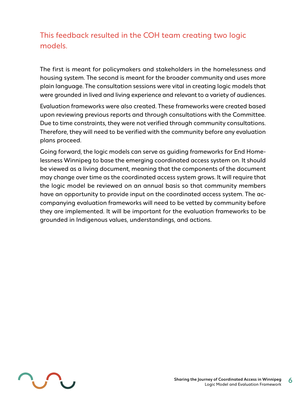# This feedback resulted in the COH team creating two logic models.

The first is meant for policymakers and stakeholders in the homelessness and housing system. The second is meant for the broader community and uses more plain language. The consultation sessions were vital in creating logic models that were grounded in lived and living experience and relevant to a variety of audiences.

Evaluation frameworks were also created. These frameworks were created based upon reviewing previous reports and through consultations with the Committee. Due to time constraints, they were not verified through community consultations. Therefore, they will need to be verified with the community before any evaluation plans proceed.

Going forward, the logic models can serve as guiding frameworks for End Homelessness Winnipeg to base the emerging coordinated access system on. It should be viewed as a living document, meaning that the components of the document may change over time as the coordinated access system grows. It will require that the logic model be reviewed on an annual basis so that community members have an opportunity to provide input on the coordinated access system. The accompanying evaluation frameworks will need to be vetted by community before they are implemented. It will be important for the evaluation frameworks to be grounded in Indigenous values, understandings, and actions.

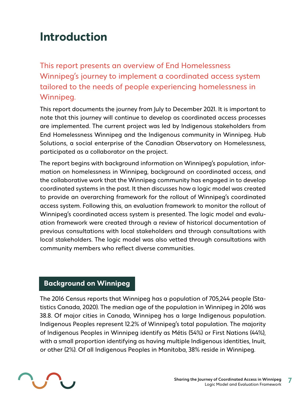# <span id="page-6-0"></span>**Introduction**

This report presents an overview of End Homelessness Winnipeg's journey to implement a coordinated access system tailored to the needs of people experiencing homelessness in Winnipeg.

This report documents the journey from July to December 2021. It is important to note that this journey will continue to develop as coordinated access processes are implemented. The current project was led by Indigenous stakeholders from End Homelessness Winnipeg and the Indigenous community in Winnipeg. Hub Solutions, a social enterprise of the Canadian Observatory on Homelessness, participated as a collaborator on the project.

The report begins with background information on Winnipeg's population, information on homelessness in Winnipeg, background on coordinated access, and the collaborative work that the Winnipeg community has engaged in to develop coordinated systems in the past. It then discusses how a logic model was created to provide an overarching framework for the rollout of Winnipeg's coordinated access system. Following this, an evaluation framework to monitor the rollout of Winnipeg's coordinated access system is presented. The logic model and evaluation framework were created through a review of historical documentation of previous consultations with local stakeholders and through consultations with local stakeholders. The logic model was also vetted through consultations with community members who reflect diverse communities.

# **Background on Winnipeg**

The 2016 Census reports that Winnipeg has a population of 705,244 people (Statistics Canada, 2020). The median age of the population in Winnipeg in 2016 was 38.8. Of major cities in Canada, Winnipeg has a large Indigenous population. Indigenous Peoples represent 12.2% of Winnipeg's total population. The majority of Indigenous Peoples in Winnipeg identify as Métis (54%) or First Nations (44%), with a small proportion identifying as having multiple Indigenous identities, Inuit, or other (2%). Of all Indigenous Peoples in Manitoba, 38% reside in Winnipeg.

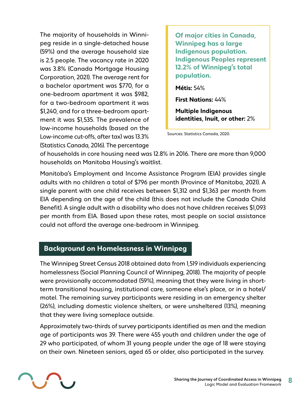The majority of households in Winnipeg reside in a single-detached house (59%) and the average household size is 2.5 people. The vacancy rate in 2020 was 3.8% (Canada Mortgage Housing Corporation, 2021). The average rent for a bachelor apartment was \$770, for a one-bedroom apartment it was \$982, for a two-bedroom apartment it was \$1,240, and for a three-bedroom apartment it was \$1,535. The prevalence of low-income households (based on the Low-income cut-offs, after tax) was 13.3% (Statistics Canada, 2016). The percentage

**Of major cities in Canada, Winnipeg has a large Indigenous population. Indigenous Peoples represent 12.2% of Winnipeg's total population.** 

**Métis:** 54%

**First Nations:** 44%

**Multiple Indigenous identities, Inuit, or other:** 2%

Sources: Statistics Canada, 2020.

of households in core housing need was 12.8% in 2016. There are more than 9,000 households on Manitoba Housing's waitlist.

Manitoba's Employment and Income Assistance Program (EIA) provides single adults with no children a total of \$796 per month (Province of Manitoba, 2021). A single parent with one child receives between \$1,312 and \$1,363 per month from EIA depending on the age of the child (this does not include the Canada Child Benefit). A single adult with a disability who does not have children receives \$1,093 per month from EIA. Based upon these rates, most people on social assistance could not afford the average one-bedroom in Winnipeg.

### **Background on Homelessness in Winnipeg**

The Winnipeg Street Census 2018 obtained data from 1,519 individuals experiencing homelessness (Social Planning Council of Winnipeg, 2018). The majority of people were provisionally accommodated (59%), meaning that they were living in shortterm transitional housing, institutional care, someone else's place, or in a hotel/ motel. The remaining survey participants were residing in an emergency shelter (26%), including domestic violence shelters, or were unsheltered (13%), meaning that they were living someplace outside.

Approximately two-thirds of survey participants identified as men and the median age of participants was 39. There were 455 youth and children under the age of 29 who participated, of whom 31 young people under the age of 18 were staying on their own. Nineteen seniors, aged 65 or older, also participated in the survey.

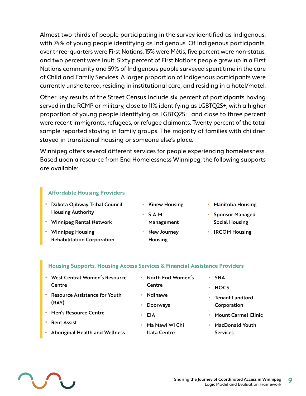Almost two-thirds of people participating in the survey identified as Indigenous, with 74% of young people identifying as Indigenous. Of Indigenous participants, over three-quarters were First Nations, 15% were Métis, five percent were non-status, and two percent were Inuit. Sixty percent of First Nations people grew up in a First Nations community and 59% of Indigenous people surveyed spent time in the care of Child and Family Services. A larger proportion of Indigenous participants were currently unsheltered, residing in institutional care, and residing in a hotel/motel.

Other key results of the Street Census include six percent of participants having served in the RCMP or military, close to 11% identifying as LGBTQ2S+, with a higher proportion of young people identifying as LGBTQ2S+, and close to three percent were recent immigrants, refugees, or refugee claimants. Twenty percent of the total sample reported staying in family groups. The majority of families with children stayed in transitional housing or someone else's place.

Winnipeg offers several different services for people experiencing homelessness. Based upon a resource from End Homelessness Winnipeg, the following supports are available:

#### **Affordable Housing Providers**

- **•** Dakota Ojibway Tribal Council Housing Authority
- **•** Winnipeg Rental Network
- **•** Winnipeg Housing Rehabilitation Corporation
- **•** Kinew Housing
	-
	- Management

**•** S.A.M.

- **•** New Journey Housing
- **•** Manitoba Housing
- **•** Sponsor Managed Social Housing
- **•** IRCOM Housing

#### **Housing Supports, Housing Access Services & Financial Assistance Providers**

- **•** West Central Women's Resource **Centre**
- **•** Resource Assistance for Youth (RAY)
- **•** Men's Resource Centre
- **•** Rent Assist
- **•** Aboriginal Health and Wellness
- **•** North End Women's **Centre**
- **•** Ndinawe
- **•** Doorways

**•** EIA

**•** Ma Mawi Wi Chi Itata Centre

- **•** SNA
- **•** HOCS
- **•** Tenant Landlord Corporation
- **•** Mount Carmel Clinic
- **•** MacDonald Youth **Services**

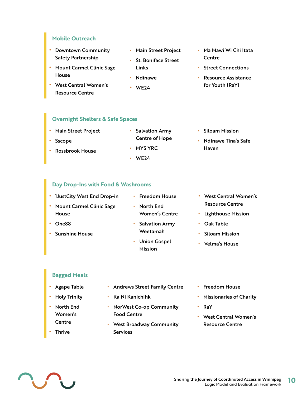#### **Mobile Outreach**

- **•** Downtown Community Safety Partnership
- **•** Mount Carmel Clinic Sage House
- **•** West Central Women's Resource Centre
- **•** Main Street Project
- **•** St. Boniface Street Links
- **•** Ndinawe
- **•** WE24
- **•** Ma Mawi Wi Chi Itata **Centre**
- **•** Street Connections
- **•** Resource Assistance for Youth (RaY)

#### **Overnight Shelters & Safe Spaces**

| • Main Street Project | <b>Salvation Army</b> | <b>Siloam Mission</b> |
|-----------------------|-----------------------|-----------------------|
| • Sscope              | <b>Centre of Hope</b> | • Ndinawe Tina's Safe |
| • Rossbrook House     | $\cdot$ MYS YRC.      | Haven                 |
|                       | WF <sub>24</sub>      |                       |

#### **Day Drop-Ins with Food & Washrooms**

| • IJustCity West End Drop-in                 | <b>Freedom House</b><br>۰                  | West Central Women's<br>$\bullet$ |
|----------------------------------------------|--------------------------------------------|-----------------------------------|
| <b>Mount Carmel Clinic Sage</b><br>$\bullet$ | North End<br>۰                             | <b>Resource Centre</b>            |
| House                                        | <b>Women's Centre</b>                      | • Lighthouse Mission              |
| One88                                        | <b>Salvation Army</b><br>۰                 | Oak Table<br>٠                    |
| <b>Sunshine House</b>                        | Weetamah                                   | <b>Siloam Mission</b>             |
|                                              | <b>Union Gospel</b><br>۰<br><b>Mission</b> | <b>Velma's House</b>              |

#### **Bagged Meals**

- **•** Agape Table
- **•** Holy Trinity
- **•** North End Women's Centre
- **•** Thrive
- **•** Andrews Street Family Centre
- **•** Ka Ni Kanichihk
- **•** NorWest Co-op Community Food Centre
- **•** West Broadway Community Services
- **•** Freedom House
- **•** Missionaries of Charity
- **•** RaY
- **•** West Central Women's Resource Centre

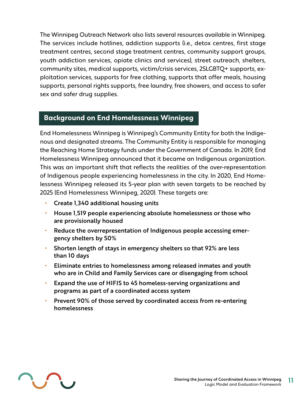The Winnipeg Outreach Network also lists several resources available in Winnipeg. The services include hotlines, addiction supports (i.e., detox centres, first stage treatment centres, second stage treatment centres, community support groups, youth addiction services, opiate clinics and services), street outreach, shelters, community sites, medical supports, victim/crisis services, 2SLGBTQ+ supports, exploitation services, supports for free clothing, supports that offer meals, housing supports, personal rights supports, free laundry, free showers, and access to safer sex and safer drug supplies.

### **Background on End Homelessness Winnipeg**

End Homelessness Winnipeg is Winnipeg's Community Entity for both the Indigenous and designated streams. The Community Entity is responsible for managing the Reaching Home Strategy funds under the Government of Canada. In 2019, End Homelessness Winnipeg announced that it became an Indigenous organization. This was an important shift that reflects the realities of the over-representation of Indigenous people experiencing homelessness in the city. In 2020, End Homelessness Winnipeg released its 5-year plan with seven targets to be reached by 2025 (End Homelessness Winnipeg, 2020). These targets are:

- **•** Create 1,340 additional housing units
- **•** House 1,519 people experiencing absolute homelessness or those who are provisionally housed
- **•** Reduce the overrepresentation of Indigenous people accessing emergency shelters by 50%
- **•** Shorten length of stays in emergency shelters so that 92% are less than 10 days
- **•** Eliminate entries to homelessness among released inmates and youth who are in Child and Family Services care or disengaging from school
- **•** Expand the use of HIFIS to 45 homeless-serving organizations and programs as part of a coordinated access system
- **•** Prevent 90% of those served by coordinated access from re-entering homelessness

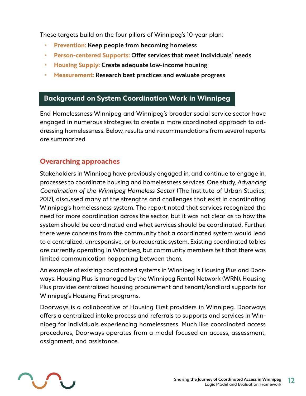These targets build on the four pillars of Winnipeg's 10-year plan:

- **• Prevention:** Keep people from becoming homeless
- **• Person-centered Supports:** Offer services that meet individuals' needs
- **• Housing Supply:** Create adequate low-income housing
- **• Measurement:** Research best practices and evaluate progress

# **Background on System Coordination Work in Winnipeg**

End Homelessness Winnipeg and Winnipeg's broader social service sector have engaged in numerous strategies to create a more coordinated approach to addressing homelessness. Below, results and recommendations from several reports are summarized.

# **Overarching approaches**

Stakeholders in Winnipeg have previously engaged in, and continue to engage in, processes to coordinate housing and homelessness services. One study, *Advancing Coordination of the Winnipeg Homeless Sector* (The Institute of Urban Studies, 2017), discussed many of the strengths and challenges that exist in coordinating Winnipeg's homelessness system. The report noted that services recognized the need for more coordination across the sector, but it was not clear as to how the system should be coordinated and what services should be coordinated. Further, there were concerns from the community that a coordinated system would lead to a centralized, unresponsive, or bureaucratic system. Existing coordinated tables are currently operating in Winnipeg, but community members felt that there was limited communication happening between them.

An example of existing coordinated systems in Winnipeg is Housing Plus and Doorways. Housing Plus is managed by the Winnipeg Rental Network (WRN). Housing Plus provides centralized housing procurement and tenant/landlord supports for Winnipeg's Housing First programs.

Doorways is a collaborative of Housing First providers in Winnipeg. Doorways offers a centralized intake process and referrals to supports and services in Winnipeg for individuals experiencing homelessness. Much like coordinated access procedures, Doorways operates from a model focused on access, assessment, assignment, and assistance.

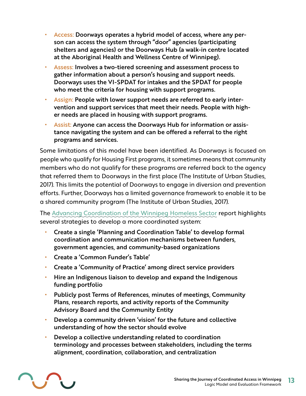- **•** Access: Doorways operates a hybrid model of access, where any person can access the system through "door" agencies (participating shelters and agencies) or the Doorways Hub (a walk-in centre located at the Aboriginal Health and Wellness Centre of Winnipeg).
- **•** Assess: Involves a two-tiered screening and assessment process to gather information about a person's housing and support needs. Doorways uses the VI-SPDAT for intakes and the SPDAT for people who meet the criteria for housing with support programs.
- **•** Assign: People with lower support needs are referred to early intervention and support services that meet their needs. People with higher needs are placed in housing with support programs.
- **•** Assist: Anyone can access the Doorways Hub for information or assistance navigating the system and can be offered a referral to the right programs and services.

Some limitations of this model have been identified. As Doorways is focused on people who qualify for Housing First programs, it sometimes means that community members who do not qualify for these programs are referred back to the agency that referred them to Doorways in the first place (The Institute of Urban Studies, 2017). This limits the potential of Doorways to engage in diversion and prevention efforts. Further, Doorways has a limited governance framework to enable it to be a shared community program (The Institute of Urban Studies, 2017).

The [Advancing Coordination of the Winnipeg Homeless Sector](https://winnspace.uwinnipeg.ca/bitstream/handle/10680/1562/2017_Advancing_Coordination_FINAL_REPORT.pdf?sequence=1&isAllowed=y) report highlights several strategies to develop a more coordinated system:

- **•** Create a single 'Planning and Coordination Table' to develop formal coordination and communication mechanisms between funders, government agencies, and community-based organizations
- **•** Create a 'Common Funder's Table'
- **•** Create a 'Community of Practice' among direct service providers
- **•** Hire an Indigenous liaison to develop and expand the Indigenous funding portfolio
- **•** Publicly post Terms of References, minutes of meetings, Community Plans, research reports, and activity reports of the Community Advisory Board and the Community Entity
- **•** Develop a community driven 'vision' for the future and collective understanding of how the sector should evolve
- **•** Develop a collective understanding related to coordination terminology and processes between stakeholders, including the terms alignment, coordination, collaboration, and centralization

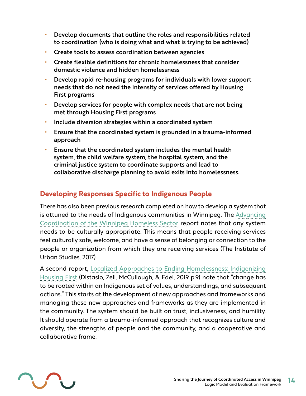- **•** Develop documents that outline the roles and responsibilities related to coordination (who is doing what and what is trying to be achieved)
- **•** Create tools to assess coordination between agencies
- **•** Create flexible definitions for chronic homelessness that consider domestic violence and hidden homelessness
- **•** Develop rapid re-housing programs for individuals with lower support needs that do not need the intensity of services offered by Housing First programs
- **•** Develop services for people with complex needs that are not being met through Housing First programs
- **•** Include diversion strategies within a coordinated system
- **•** Ensure that the coordinated system is grounded in a trauma-informed approach
- **•** Ensure that the coordinated system includes the mental health system, the child welfare system, the hospital system, and the criminal justice system to coordinate supports and lead to collaborative discharge planning to avoid exits into homelessness.

## **Developing Responses Specific to Indigenous People**

There has also been previous research completed on how to develop a system that is attuned to the needs of Indigenous communities in Winnipeg. The [Advancing](https://www.homelesshub.ca/resource/localized-approaches-ending-homelessness-indigenizing-housing-first)  [Coordination of the Winnipeg Homeless Sector](https://www.homelesshub.ca/resource/localized-approaches-ending-homelessness-indigenizing-housing-first) report notes that any system needs to be culturally appropriate. This means that people receiving services feel culturally safe, welcome, and have a sense of belonging or connection to the people or organization from which they are receiving services (The Institute of Urban Studies, 2017).

A second report, [Localized Approaches to Ending Homelessness: Indigenizing](https://www.homelesshub.ca/resource/localized-approaches-ending-homelessness-indigenizing-housing-first)  [Housing First](https://www.homelesshub.ca/resource/localized-approaches-ending-homelessness-indigenizing-housing-first) (Distasio, Zell, McCullough, & Edel, 2019 p.9) note that "change has to be rooted within an Indigenous set of values, understandings, and subsequent actions." This starts at the development of new approaches and frameworks and managing these new approaches and frameworks as they are implemented in the community. The system should be built on trust, inclusiveness, and humility. It should operate from a trauma-informed approach that recognizes culture and diversity, the strengths of people and the community, and a cooperative and collaborative frame.

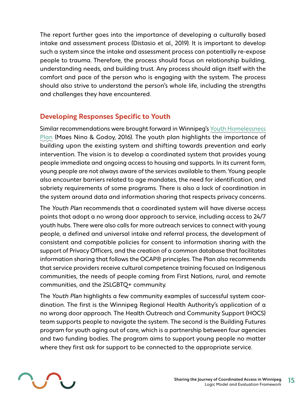The report further goes into the importance of developing a culturally based intake and assessment process (Distasio et al., 2019). It is important to develop such a system since the intake and assessment process can potentially re-expose people to trauma. Therefore, the process should focus on relationship building, understanding needs, and building trust. Any process should align itself with the comfort and pace of the person who is engaging with the system. The process should also strive to understand the person's whole life, including the strengths and challenges they have encountered.

# **Developing Responses Specific to Youth**

Similar recommendations were brought forward in Winnipeg's [Youth Homelessness](https://www.homelesshub.ca/resource/here-and-now-winnipeg-plan-end-youth-homelessness) [Plan](https://www.homelesshub.ca/resource/here-and-now-winnipeg-plan-end-youth-homelessness) (Maes Nino & Godoy, 2016). The youth plan highlights the importance of building upon the existing system and shifting towards prevention and early intervention. The vision is to develop a coordinated system that provides young people immediate and ongoing access to housing and supports. In its current form, young people are not always aware of the services available to them. Young people also encounter barriers related to age mandates, the need for identification, and sobriety requirements of some programs. There is also a lack of coordination in the system around data and information sharing that respects privacy concerns.

The *Youth Plan* recommends that a coordinated system will have diverse access points that adopt a no wrong door approach to service, including access to 24/7 youth hubs. There were also calls for more outreach services to connect with young people, a defined and universal intake and referral process, the development of consistent and compatible policies for consent to information sharing with the support of Privacy Officers, and the creation of a common database that facilitates information sharing that follows the OCAP® principles. The Plan also recommends that service providers receive cultural competence training focused on Indigenous communities, the needs of people coming from First Nations, rural, and remote communities, and the 2SLGBTQ+ community.

The *Youth Plan* highlights a few community examples of successful system coordination. The first is the Winnipeg Regional Health Authority's application of a no wrong door approach. The Health Outreach and Community Support (HOCS) team supports people to navigate the system. The second is the Building Futures program for youth aging out of care, which is a partnership between four agencies and two funding bodies. The program aims to support young people no matter where they first ask for support to be connected to the appropriate service.

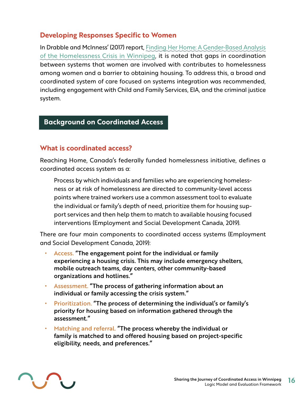# **Developing Responses Specific to Women**

In Drabble and McInness' (2017) report, [Finding Her Home: A Gender-Based Analysis](https://www.policyalternatives.ca/sites/default/files/uploads/publications/Manitoba%20Office/2017/03/Finding_Her_Home_%20low-res.pdf)  [of the Homelessness Crisis in Winnipeg,](https://www.policyalternatives.ca/sites/default/files/uploads/publications/Manitoba%20Office/2017/03/Finding_Her_Home_%20low-res.pdf) it is noted that gaps in coordination between systems that women are involved with contributes to homelessness among women and a barrier to obtaining housing. To address this, a broad and coordinated system of care focused on systems integration was recommended, including engagement with Child and Family Services, EIA, and the criminal justice system.

## **Background on Coordinated Access**

## **What is coordinated access?**

Reaching Home, Canada's federally funded homelessness initiative, defines a coordinated access system as a:

Process by which individuals and families who are experiencing homelessness or at risk of homelessness are directed to community-level access points where trained workers use a common assessment tool to evaluate the individual or family's depth of need, prioritize them for housing support services and then help them to match to available housing focused interventions (Employment and Social Development Canada, 2019).

There are four main components to coordinated access systems (Employment and Social Development Canada, 2019):

- **•** Access. "The engagement point for the individual or family experiencing a housing crisis. This may include emergency shelters, mobile outreach teams, day centers, other community-based organizations and hotlines."
- **•** Assessment. "The process of gathering information about an individual or family accessing the crisis system."
- **•** Prioritization. "The process of determining the individual's or family's priority for housing based on information gathered through the assessment."
- **•** Matching and referral. "The process whereby the individual or family is matched to and offered housing based on project-specific eligibility, needs, and preferences."

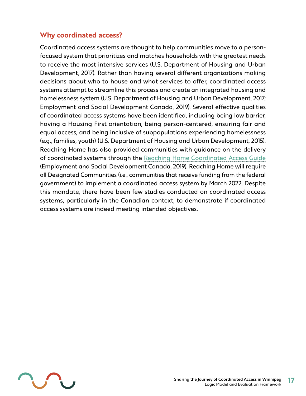## **Why coordinated access?**

Coordinated access systems are thought to help communities move to a personfocused system that prioritizes and matches households with the greatest needs to receive the most intensive services (U.S. Department of Housing and Urban Development, 2017). Rather than having several different organizations making decisions about who to house and what services to offer, coordinated access systems attempt to streamline this process and create an integrated housing and homelessness system (U.S. Department of Housing and Urban Development, 2017; Employment and Social Development Canada, 2019). Several effective qualities of coordinated access systems have been identified, including being low barrier, having a Housing First orientation, being person-centered, ensuring fair and equal access, and being inclusive of subpopulations experiencing homelessness (e.g., families, youth) (U.S. Department of Housing and Urban Development, 2015). Reaching Home has also provided communities with guidance on the delivery of coordinated systems through the [Reaching Home Coordinated Access Guide](https://homelessnesslearninghub.ca/library/resources/reaching-home-coordinated-access-guide/)  (Employment and Social Development Canada, 2019). Reaching Home will require all Designated Communities (i.e., communities that receive funding from the federal government) to implement a coordinated access system by March 2022. Despite this mandate, there have been few studies conducted on coordinated access systems, particularly in the Canadian context, to demonstrate if coordinated access systems are indeed meeting intended objectives.

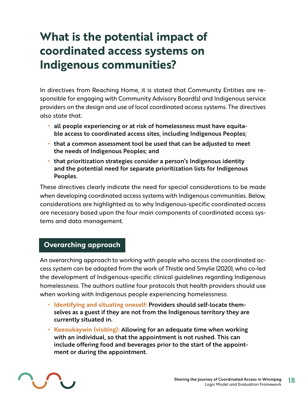# <span id="page-17-0"></span>**What is the potential impact of coordinated access systems on Indigenous communities?**

In directives from Reaching Home, it is stated that Community Entities are responsible for engaging with Community Advisory Board(s) and Indigenous service providers on the design and use of local coordinated access systems. The directives also state that:

- **•** all people experiencing or at risk of homelessness must have equitable access to coordinated access sites, including Indigenous Peoples;
- **•** that a common assessment tool be used that can be adjusted to meet the needs of Indigenous Peoples; and
- **•** that prioritization strategies consider a person's Indigenous identity and the potential need for separate prioritization lists for Indigenous Peoples.

These directives clearly indicate the need for special considerations to be made when developing coordinated access systems with Indigenous communities. Below, considerations are highlighted as to why Indigenous-specific coordinated access are necessary based upon the four main components of coordinated access systems and data management.

## **Overarching approach**

An overarching approach to working with people who access the coordinated access system can be adapted from the work of Thistle and Smylie (2020), who co-led the development of Indigenous-specific clinical guidelines regarding Indigenous homelessness. The authors outline four protocols that health providers should use when working with Indigenous people experiencing homelessness:

- **• Identifying and situating oneself:** Providers should self-locate themselves as a guest if they are not from the Indigenous territory they are currently situated in.
- **• Keeoukaywin (visiting):** Allowing for an adequate time when working with an individual, so that the appointment is not rushed. This can include offering food and beverages prior to the start of the appointment or during the appointment.

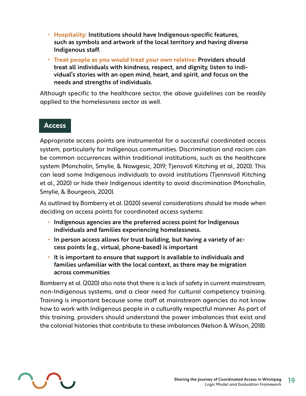- **• Hospitality:** Institutions should have Indigenous-specific features, such as symbols and artwork of the local territory and having diverse Indigenous staff.
- **• Treat people as you would treat your own relative:** Providers should treat all individuals with kindness, respect, and dignity, listen to individual's stories with an open mind, heart, and spirit, and focus on the needs and strengths of individuals.

Although specific to the healthcare sector, the above guidelines can be readily applied to the homelessness sector as well.

### **Access**

Appropriate access points are instrumental for a successful coordinated access system, particularly for Indigenous communities. Discrimination and racism can be common occurrences within traditional institutions, such as the healthcare system (Monchalin, Smylie, & Nowgesic, 2019; Tjensvoll Kitching et al., 2020). This can lead some Indigenous individuals to avoid institutions (Tjennsvoll Kitching et al., 2020) or hide their Indigenous identity to avoid discrimination (Monchalin, Smylie, & Bourgeois, 2020).

As outlined by Bomberry et al. (2020) several considerations should be made when deciding on access points for coordinated access systems:

- **•** Indigenous agencies are the preferred access point for Indigenous individuals and families experiencing homelessness.
- **•** In person access allows for trust building, but having a variety of access points (e.g., virtual, phone-based) is important
- **•** It is important to ensure that support is available to individuals and families unfamiliar with the local context, as there may be migration across communities

Bomberry et al. (2020) also note that there is a lack of safety in current mainstream, non-Indigenous systems, and a clear need for cultural competency training. Training is important because some staff at mainstream agencies do not know how to work with Indigenous people in a culturally respectful manner. As part of this training, providers should understand the power imbalances that exist and the colonial histories that contribute to these imbalances (Nelson & Wilson, 2018).

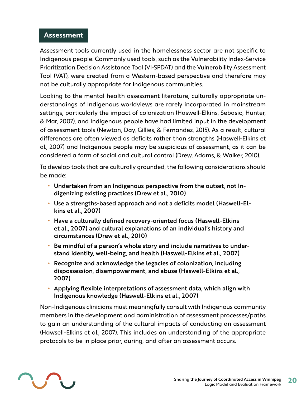### **Assessment**

Assessment tools currently used in the homelessness sector are not specific to Indigenous people. Commonly used tools, such as the Vulnerability Index-Service Prioritization Decision Assistance Tool (VI-SPDAT) and the Vulnerability Assessment Tool (VAT), were created from a Western-based perspective and therefore may not be culturally appropriate for Indigenous communities.

Looking to the mental health assessment literature, culturally appropriate understandings of Indigenous worldviews are rarely incorporated in mainstream settings, particularly the impact of colonization (Haswell-Elkins, Sebasio, Hunter, & Mar, 2007), and Indigenous people have had limited input in the development of assessment tools (Newton, Day, Gillies, & Fernandez, 2015). As a result, cultural differences are often viewed as deficits rather than strengths (Haswell-Elkins et al., 2007) and Indigenous people may be suspicious of assessment, as it can be considered a form of social and cultural control (Drew, Adams, & Walker, 2010).

To develop tools that are culturally grounded, the following considerations should be made:

- **•** Undertaken from an Indigenous perspective from the outset, not Indigenizing existing practices (Drew et al., 2010)
- **•** Use a strengths-based approach and not a deficits model (Haswell-Elkins et al., 2007)
- **•** Have a culturally defined recovery-oriented focus (Haswell-Elkins et al., 2007) and cultural explanations of an individual's history and circumstances (Drew et al., 2010)
- **•** Be mindful of a person's whole story and include narratives to understand identity, well-being, and health (Haswell-Elkins et al., 2007)
- **•** Recognize and acknowledge the legacies of colonization, including dispossession, disempowerment, and abuse (Haswell-Elkins et al., 2007)
- **•** Applying flexible interpretations of assessment data, which align with Indigenous knowledge (Haswell-Elkins et al., 2007)

Non-Indigenous clinicians must meaningfully consult with Indigenous community members in the development and administration of assessment processes/paths to gain an understanding of the cultural impacts of conducting an assessment (Hawsell-Elkins et al., 2007). This includes an understanding of the appropriate protocols to be in place prior, during, and after an assessment occurs.

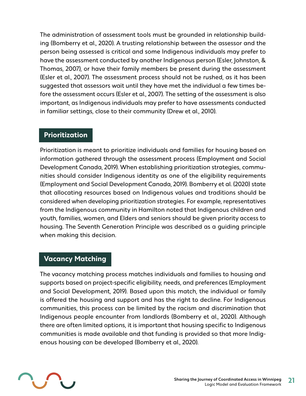The administration of assessment tools must be grounded in relationship building (Bomberry et al., 2020). A trusting relationship between the assessor and the person being assessed is critical and some Indigenous individuals may prefer to have the assessment conducted by another Indigenous person (Esler, Johnston, & Thomas, 2007), or have their family members be present during the assessment (Esler et al., 2007). The assessment process should not be rushed, as it has been suggested that assessors wait until they have met the individual a few times before the assessment occurs (Esler et al., 2007). The setting of the assessment is also important, as Indigenous individuals may prefer to have assessments conducted in familiar settings, close to their community (Drew et al., 2010).

## **Prioritization**

Prioritization is meant to prioritize individuals and families for housing based on information gathered through the assessment process (Employment and Social Development Canada, 2019). When establishing prioritization strategies, communities should consider Indigenous identity as one of the eligibility requirements (Employment and Social Development Canada, 2019). Bomberry et al. (2020) state that allocating resources based on Indigenous values and traditions should be considered when developing prioritization strategies. For example, representatives from the Indigenous community in Hamilton noted that Indigenous children and youth, families, women, and Elders and seniors should be given priority access to housing. The Seventh Generation Principle was described as a guiding principle when making this decision.

## **Vacancy Matching**

The vacancy matching process matches individuals and families to housing and supports based on project-specific eligibility, needs, and preferences (Employment and Social Development, 2019). Based upon this match, the individual or family is offered the housing and support and has the right to decline. For Indigenous communities, this process can be limited by the racism and discrimination that Indigenous people encounter from landlords (Bomberry et al., 2020). Although there are often limited options, it is important that housing specific to Indigenous communities is made available and that funding is provided so that more Indigenous housing can be developed (Bomberry et al., 2020).

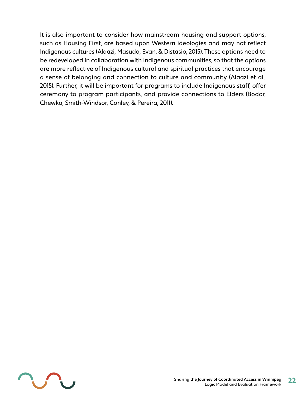It is also important to consider how mainstream housing and support options, such as Housing First, are based upon Western ideologies and may not reflect Indigenous cultures (Alaazi, Masuda, Evan, & Distasio, 2015). These options need to be redeveloped in collaboration with Indigenous communities, so that the options are more reflective of Indigenous cultural and spiritual practices that encourage a sense of belonging and connection to culture and community (Alaazi et al., 2015). Further, it will be important for programs to include Indigenous staff, offer ceremony to program participants, and provide connections to Elders (Bodor, Chewka, Smith-Windsor, Conley, & Pereira, 2011).

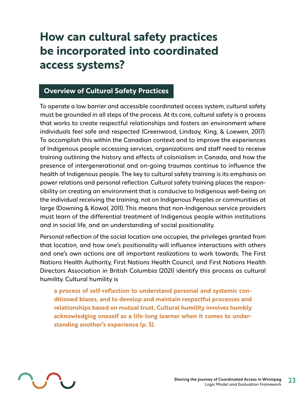# <span id="page-22-0"></span>**How can cultural safety practices be incorporated into coordinated access systems?**

# **Overview of Cultural Safety Practices**

To operate a low barrier and accessible coordinated access system, cultural safety must be grounded in all steps of the process. At its core, cultural safety is a process that works to create respectful relationships and fosters an environment where individuals feel safe and respected (Greenwood, Lindsay, King, & Loewen, 2017). To accomplish this within the Canadian context and to improve the experiences of Indigenous people accessing services, organizations and staff need to receive training outlining the history and effects of colonialism in Canada, and how the presence of intergenerational and on-going traumas continue to influence the health of Indigenous people. The key to cultural safety training is its emphasis on power relations and personal reflection. Cultural safety training places the responsibility on creating an environment that is conducive to Indigenous well-being on the individual receiving the training, not on Indigenous Peoples or communities at large (Downing & Kowal, 2011). This means that non-Indigenous service providers must learn of the differential treatment of Indigenous people within institutions and in social life, and an understanding of social positionality.

Personal reflection of the social location one occupies, the privileges granted from that location, and how one's positionality will influence interactions with others and one's own actions are all important realizations to work towards. The First Nations Health Authority, First Nations Health Council, and First Nations Health Directors Association in British Columbia (2021) identify this process as cultural humility. Cultural humility is

**a process of self-reflection to understand personal and systemic conditioned biases, and to develop and maintain respectful processes and relationships based on mutual trust. Cultural humility involves humbly acknowledging oneself as a life-long learner when it comes to understanding another's experience (p. 5).**

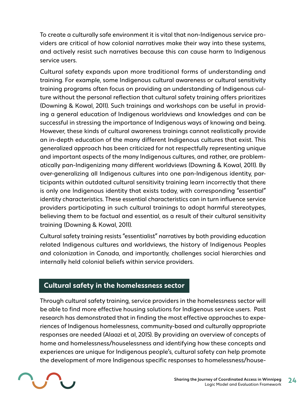To create a culturally safe environment it is vital that non-Indigenous service providers are critical of how colonial narratives make their way into these systems, and actively resist such narratives because this can cause harm to Indigenous service users.

Cultural safety expands upon more traditional forms of understanding and training. For example, some Indigenous cultural awareness or cultural sensitivity training programs often focus on providing an understanding of Indigenous culture without the personal reflection that cultural safety training offers prioritizes (Downing & Kowal, 2011). Such trainings and workshops can be useful in providing a general education of Indigenous worldviews and knowledges and can be successful in stressing the importance of Indigenous ways of knowing and being. However, these kinds of cultural awareness trainings cannot realistically provide an in-depth education of the many different Indigenous cultures that exist. This generalized approach has been criticized for not respectfully representing unique and important aspects of the many Indigenous cultures, and rather, are problematically pan-Indigenizing many different worldviews (Downing & Kowal, 2011). By over-generalizing all Indigenous cultures into one pan-Indigenous identity, participants within outdated cultural sensitivity training learn incorrectly that there is only one Indigenous identity that exists today, with corresponding "essential" identity characteristics. These essential characteristics can in turn influence service providers participating in such cultural trainings to adopt harmful stereotypes, believing them to be factual and essential, as a result of their cultural sensitivity training (Downing & Kowal, 2011).

Cultural safety training resists "essentialist" narratives by both providing education related Indigenous cultures and worldviews, the history of Indigenous Peoples and colonization in Canada, and importantly, challenges social hierarchies and internally held colonial beliefs within service providers.

## **Cultural safety in the homelessness sector**

Through cultural safety training, service providers in the homelessness sector will be able to find more effective housing solutions for Indigenous service users. Past research has demonstrated that in finding the most effective approaches to experiences of Indigenous homelessness, community-based and culturally appropriate responses are needed (Alaazi et al, 2015). By providing an overview of concepts of home and homelessness/houselessness and identifying how these concepts and experiences are unique for Indigenous people's, cultural safety can help promote the development of more Indigenous specific responses to homelessness/house-

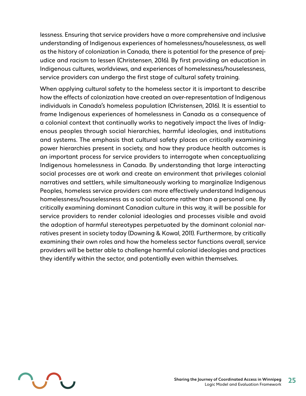lessness. Ensuring that service providers have a more comprehensive and inclusive understanding of Indigenous experiences of homelessness/houselessness, as well as the history of colonization in Canada, there is potential for the presence of prejudice and racism to lessen (Christensen, 2016). By first providing an education in Indigenous cultures, worldviews, and experiences of homelessness/houselessness, service providers can undergo the first stage of cultural safety training.

When applying cultural safety to the homeless sector it is important to describe how the effects of colonization have created an over-representation of Indigenous individuals in Canada's homeless population (Christensen, 2016). It is essential to frame Indigenous experiences of homelessness in Canada as a consequence of a colonial context that continually works to negatively impact the lives of Indigenous peoples through social hierarchies, harmful ideologies, and institutions and systems. The emphasis that cultural safety places on critically examining power hierarchies present in society, and how they produce health outcomes is an important process for service providers to interrogate when conceptualizing Indigenous homelessness in Canada. By understanding that large interacting social processes are at work and create an environment that privileges colonial narratives and settlers, while simultaneously working to marginalize Indigenous Peoples, homeless service providers can more effectively understand Indigenous homelessness/houselessness as a social outcome rather than a personal one. By critically examining dominant Canadian culture in this way, it will be possible for service providers to render colonial ideologies and processes visible and avoid the adoption of harmful stereotypes perpetuated by the dominant colonial narratives present in society today (Downing & Kowal, 2011). Furthermore, by critically examining their own roles and how the homeless sector functions overall, service providers will be better able to challenge harmful colonial ideologies and practices they identify within the sector, and potentially even within themselves.

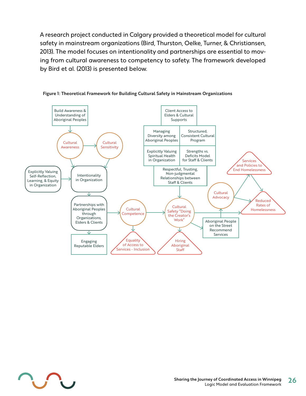A research project conducted in Calgary provided a theoretical model for cultural safety in mainstream organizations (Bird, Thurston, Oelke, Turner, & Christiansen, 2013). The model focuses on intentionality and partnerships are essential to moving from cultural awareness to competency to safety. The framework developed by Bird et al. (2013) is presented below.



#### **Figure 1: Theoretical Framework for Building Cultural Safety in Mainstream Organizations**

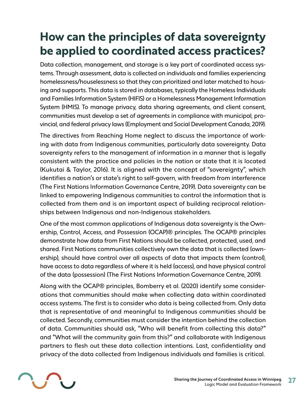# <span id="page-26-0"></span>**How can the principles of data sovereignty be applied to coordinated access practices?**

Data collection, management, and storage is a key part of coordinated access systems. Through assessment, data is collected on individuals and families experiencing homelessness/houselessness so that they can prioritized and later matched to housing and supports. This data is stored in databases, typically the Homeless Individuals and Families Information System (HIFIS) or a Homelessness Management Information System (HMIS). To manage privacy, data sharing agreements, and client consent, communities must develop a set of agreements in compliance with municipal, provincial, and federal privacy laws (Employment and Social Development Canada, 2019).

The directives from Reaching Home neglect to discuss the importance of working with data from Indigenous communities, particularly data sovereignty. Data sovereignty refers to the management of information in a manner that is legally consistent with the practice and policies in the nation or state that it is located (Kukutai & Taylor, 2016). It is aligned with the concept of "sovereignty", which identifies a nation's or state's right to self-govern, with freedom from interference (The First Nations Information Governance Centre, 2019). Data sovereignty can be linked to empowering Indigenous communities to control the information that is collected from them and is an important aspect of building reciprocal relationships between Indigenous and non-Indigenous stakeholders.

One of the most common applications of Indigenous data sovereignty is the Ownership, Control, Access, and Possession (OCAP)® principles. The OCAP® principles demonstrate how data from First Nations should be collected, protected, used, and shared. First Nations communities collectively own the data that is collected (ownership), should have control over all aspects of data that impacts them (control), have access to data regardless of where it is held (access), and have physical control of the data (possession) (The First Nations Information Governance Centre, 2019).

Along with the OCAP® principles, Bomberry et al. (2020) identify some considerations that communities should make when collecting data within coordinated access systems. The first is to consider who data is being collected from. Only data that is representative of and meaningful to Indigenous communities should be collected. Secondly, communities must consider the intention behind the collection of data. Communities should ask, "Who will benefit from collecting this data?" and "What will the community gain from this?" and collaborate with Indigenous partners to flesh out these data collection intentions. Last, confidentiality and privacy of the data collected from Indigenous individuals and families is critical.

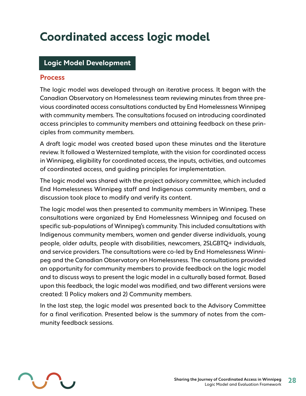# <span id="page-27-0"></span>**Coordinated access logic model**

## **Logic Model Development**

#### **Process**

The logic model was developed through an iterative process. It began with the Canadian Observatory on Homelessness team reviewing minutes from three previous coordinated access consultations conducted by End Homelessness Winnipeg with community members. The consultations focused on introducing coordinated access principles to community members and attaining feedback on these principles from community members.

A draft logic model was created based upon these minutes and the literature review. It followed a Westernized template, with the vision for coordinated access in Winnipeg, eligibility for coordinated access, the inputs, activities, and outcomes of coordinated access, and guiding principles for implementation.

The logic model was shared with the project advisory committee, which included End Homelessness Winnipeg staff and Indigenous community members, and a discussion took place to modify and verify its content.

The logic model was then presented to community members in Winnipeg. These consultations were organized by End Homelessness Winnipeg and focused on specific sub-populations of Winnipeg's community. This included consultations with Indigenous community members, women and gender diverse individuals, young people, older adults, people with disabilities, newcomers, 2SLGBTQ+ individuals, and service providers. The consultations were co-led by End Homelessness Winnipeg and the Canadian Observatory on Homelessness. The consultations provided an opportunity for community members to provide feedback on the logic model and to discuss ways to present the logic model in a culturally based format. Based upon this feedback, the logic model was modified, and two different versions were created: 1) Policy makers and 2) Community members.

In the last step, the logic model was presented back to the Advisory Committee for a final verification. Presented below is the summary of notes from the community feedback sessions.

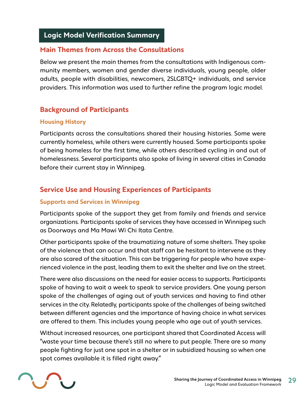# **Logic Model Verification Summary**

## **Main Themes from Across the Consultations**

Below we present the main themes from the consultations with Indigenous community members, women and gender diverse individuals, young people, older adults, people with disabilities, newcomers, 2SLGBTQ+ individuals, and service providers. This information was used to further refine the program logic model.

# **Background of Participants**

### **Housing History**

Participants across the consultations shared their housing histories. Some were currently homeless, while others were currently housed. Some participants spoke of being homeless for the first time, while others described cycling in and out of homelessness. Several participants also spoke of living in several cities in Canada before their current stay in Winnipeg.

# **Service Use and Housing Experiences of Participants**

### **Supports and Services in Winnipeg**

Participants spoke of the support they get from family and friends and service organizations. Participants spoke of services they have accessed in Winnipeg such as Doorways and Ma Mawi Wi Chi Itata Centre.

Other participants spoke of the traumatizing nature of some shelters. They spoke of the violence that can occur and that staff can be hesitant to intervene as they are also scared of the situation. This can be triggering for people who have experienced violence in the past, leading them to exit the shelter and live on the street.

There were also discussions on the need for easier access to supports. Participants spoke of having to wait a week to speak to service providers. One young person spoke of the challenges of aging out of youth services and having to find other services in the city. Relatedly, participants spoke of the challenges of being switched between different agencies and the importance of having choice in what services are offered to them. This includes young people who age out of youth services.

Without increased resources, one participant shared that Coordinated Access will "waste your time because there's still no where to put people. There are so many people fighting for just one spot in a shelter or in subsidized housing so when one spot comes available it is filled right away."

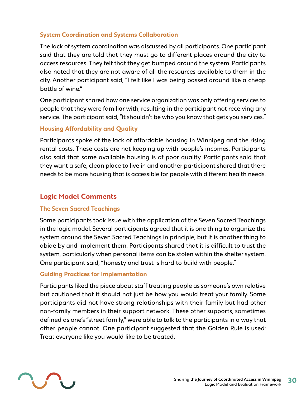#### **System Coordination and Systems Collaboration**

The lack of system coordination was discussed by all participants. One participant said that they are told that they must go to different places around the city to access resources. They felt that they get bumped around the system. Participants also noted that they are not aware of all the resources available to them in the city. Another participant said, "I felt like I was being passed around like a cheap bottle of wine."

One participant shared how one service organization was only offering services to people that they were familiar with, resulting in the participant not receiving any service. The participant said, "It shouldn't be who you know that gets you services."

### **Housing Affordability and Quality**

Participants spoke of the lack of affordable housing in Winnipeg and the rising rental costs. These costs are not keeping up with people's incomes. Participants also said that some available housing is of poor quality. Participants said that they want a safe, clean place to live in and another participant shared that there needs to be more housing that is accessible for people with different health needs.

## **Logic Model Comments**

#### **The Seven Sacred Teachings**

Some participants took issue with the application of the Seven Sacred Teachings in the logic model. Several participants agreed that it is one thing to organize the system around the Seven Sacred Teachings in principle, but it is another thing to abide by and implement them. Participants shared that it is difficult to trust the system, particularly when personal items can be stolen within the shelter system. One participant said, "honesty and trust is hard to build with people."

#### **Guiding Practices for Implementation**

Participants liked the piece about staff treating people as someone's own relative but cautioned that it should not just be how you would treat your family. Some participants did not have strong relationships with their family but had other non-family members in their support network. These other supports, sometimes defined as one's "street family," were able to talk to the participants in a way that other people cannot. One participant suggested that the Golden Rule is used: Treat everyone like you would like to be treated.

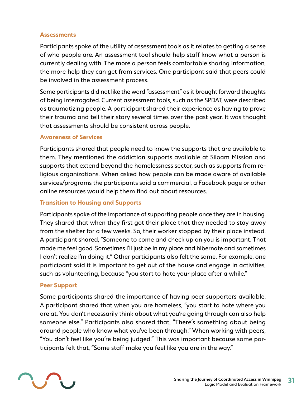#### **Assessments**

Participants spoke of the utility of assessment tools as it relates to getting a sense of who people are. An assessment tool should help staff know what a person is currently dealing with. The more a person feels comfortable sharing information, the more help they can get from services. One participant said that peers could be involved in the assessment process.

Some participants did not like the word "assessment" as it brought forward thoughts of being interrogated. Current assessment tools, such as the SPDAT, were described as traumatizing people. A participant shared their experience as having to prove their trauma and tell their story several times over the past year. It was thought that assessments should be consistent across people.

#### **Awareness of Services**

Participants shared that people need to know the supports that are available to them. They mentioned the addiction supports available at Siloam Mission and supports that extend beyond the homelessness sector, such as supports from religious organizations. When asked how people can be made aware of available services/programs the participants said a commercial, a Facebook page or other online resources would help them find out about resources.

#### **Transition to Housing and Supports**

Participants spoke of the importance of supporting people once they are in housing. They shared that when they first got their place that they needed to stay away from the shelter for a few weeks. So, their worker stopped by their place instead. A participant shared, "Someone to come and check up on you is important. That made me feel good. Sometimes I'll just be in my place and hibernate and sometimes I don't realize I'm doing it." Other participants also felt the same. For example, one participant said it is important to get out of the house and engage in activities, such as volunteering, because "you start to hate your place after a while."

#### **Peer Support**

Some participants shared the importance of having peer supporters available. A participant shared that when you are homeless, "you start to hate where you are at. You don't necessarily think about what you're going through can also help someone else." Participants also shared that, "There's something about being around people who know what you've been through." When working with peers, "You don't feel like you're being judged." This was important because some participants felt that, "Some staff make you feel like you are in the way."

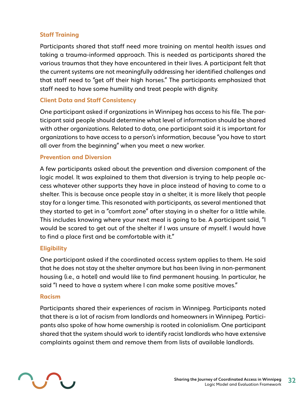### **Staff Training**

Participants shared that staff need more training on mental health issues and taking a trauma-informed approach. This is needed as participants shared the various traumas that they have encountered in their lives. A participant felt that the current systems are not meaningfully addressing her identified challenges and that staff need to "get off their high horses." The participants emphasized that staff need to have some humility and treat people with dignity.

#### **Client Data and Staff Consistency**

One participant asked if organizations in Winnipeg has access to his file. The participant said people should determine what level of information should be shared with other organizations. Related to data, one participant said it is important for organizations to have access to a person's information, because "you have to start all over from the beginning" when you meet a new worker.

#### **Prevention and Diversion**

A few participants asked about the prevention and diversion component of the logic model. It was explained to them that diversion is trying to help people access whatever other supports they have in place instead of having to come to a shelter. This is because once people stay in a shelter, it is more likely that people stay for a longer time. This resonated with participants, as several mentioned that they started to get in a "comfort zone" after staying in a shelter for a little while. This includes knowing where your next meal is going to be. A participant said, "I would be scared to get out of the shelter if I was unsure of myself. I would have to find a place first and be comfortable with it."

#### **Eligibility**

One participant asked if the coordinated access system applies to them. He said that he does not stay at the shelter anymore but has been living in non-permanent housing (i.e., a hotel) and would like to find permanent housing. In particular, he said "I need to have a system where I can make some positive moves."

#### **Racism**

Participants shared their experiences of racism in Winnipeg. Participants noted that there is a lot of racism from landlords and homeowners in Winnipeg. Participants also spoke of how home ownership is rooted in colonialism. One participant shared that the system should work to identify racist landlords who have extensive complaints against them and remove them from lists of available landlords.

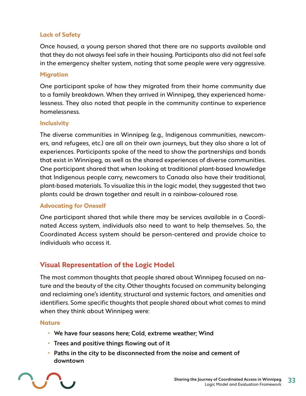#### **Lack of Safety**

Once housed, a young person shared that there are no supports available and that they do not always feel safe in their housing. Participants also did not feel safe in the emergency shelter system, noting that some people were very aggressive.

#### **Migration**

One participant spoke of how they migrated from their home community due to a family breakdown. When they arrived in Winnipeg, they experienced homelessness. They also noted that people in the community continue to experience homelessness.

#### **Inclusivity**

The diverse communities in Winnipeg (e.g., Indigenous communities, newcomers, and refugees, etc.) are all on their own journeys, but they also share a lot of experiences. Participants spoke of the need to show the partnerships and bonds that exist in Winnipeg, as well as the shared experiences of diverse communities. One participant shared that when looking at traditional plant-based knowledge that Indigenous people carry, newcomers to Canada also have their traditional, plant-based materials. To visualize this in the logic model, they suggested that two plants could be drawn together and result in a rainbow-coloured rose.

#### **Advocating for Oneself**

One participant shared that while there may be services available in a Coordinated Access system, individuals also need to want to help themselves. So, the Coordinated Access system should be person-centered and provide choice to individuals who access it.

## **Visual Representation of the Logic Model**

The most common thoughts that people shared about Winnipeg focused on nature and the beauty of the city. Other thoughts focused on community belonging and reclaiming one's identity, structural and systemic factors, and amenities and identifiers. Some specific thoughts that people shared about what comes to mind when they think about Winnipeg were:

#### **Nature**

- **•** We have four seasons here; Cold, extreme weather; Wind
- **•** Trees and positive things flowing out of it
- **•** Paths in the city to be disconnected from the noise and cement of downtown

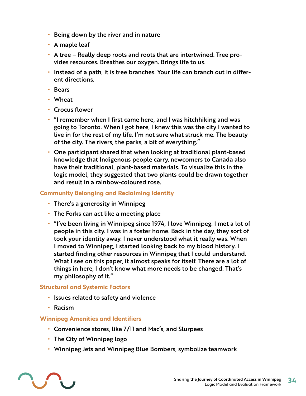- **•** Being down by the river and in nature
- **•** A maple leaf
- **•** A tree Really deep roots and roots that are intertwined. Tree provides resources. Breathes our oxygen. Brings life to us.
- **•** Instead of a path, it is tree branches. Your life can branch out in different directions.
- **•** Bears
- **•** Wheat
- **•** Crocus flower
- **•** "I remember when I first came here, and I was hitchhiking and was going to Toronto. When I got here, I knew this was the city I wanted to live in for the rest of my life. I'm not sure what struck me. The beauty of the city. The rivers, the parks, a bit of everything."
- **•** One participant shared that when looking at traditional plant-based knowledge that Indigenous people carry, newcomers to Canada also have their traditional, plant-based materials. To visualize this in the logic model, they suggested that two plants could be drawn together and result in a rainbow-coloured rose.

### **Community Belonging and Reclaiming Identity**

- **•** There's a generosity in Winnipeg
- **•** The Forks can act like a meeting place
- **•** "I've been living in Winnipeg since 1974, I love Winnipeg. I met a lot of people in this city. I was in a foster home. Back in the day, they sort of took your identity away. I never understood what it really was. When I moved to Winnipeg, I started looking back to my blood history. I started finding other resources in Winnipeg that I could understand. What I see on this paper, it almost speaks for itself. There are a lot of things in here, I don't know what more needs to be changed. That's my philosophy of it."

### **Structural and Systemic Factors**

- **•** Issues related to safety and violence
- **•** Racism

### **Winnipeg Amenities and Identifiers**

- **•** Convenience stores, like 7/11 and Mac's, and Slurpees
- **•** The City of Winnipeg logo
- **•** Winnipeg Jets and Winnipeg Blue Bombers, symbolize teamwork

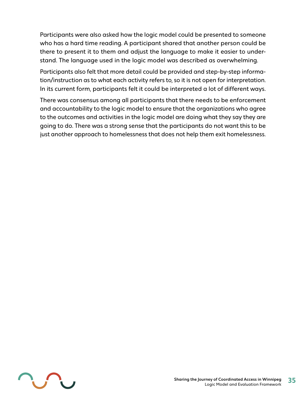Participants were also asked how the logic model could be presented to someone who has a hard time reading. A participant shared that another person could be there to present it to them and adjust the language to make it easier to understand. The language used in the logic model was described as overwhelming.

Participants also felt that more detail could be provided and step-by-step information/instruction as to what each activity refers to, so it is not open for interpretation. In its current form, participants felt it could be interpreted a lot of different ways.

There was consensus among all participants that there needs to be enforcement and accountability to the logic model to ensure that the organizations who agree to the outcomes and activities in the logic model are doing what they say they are going to do. There was a strong sense that the participants do not want this to be just another approach to homelessness that does not help them exit homelessness.

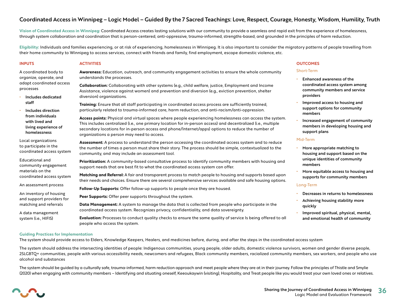#### Coordinated Access in Winnipeg – Logic Model – Guided By the 7 Sacred Teachings: Love, Respect, Courage, Honesty, Wisdom, Humility, Truth

**Vision of Coordinated Access in Winnipeg:** Coordinated Access creates lasting solutions with our community to provide a seamless and rapid exit from the experience of homelessness, through system collaboration and coordination that is person-centered, anti-oppressive, trauma-informed, strengths-based, and grounded in the principles of harm reduction.

**Eligibility:** Individuals and families experiencing, or at risk of experiencing, homelessness in Winnipeg. It is also important to consider the migratory patterns of people travelling from their home community to Winnipeg to access services, connect with friends and family, find employment, escape domestic violence, etc.

#### **INPUTS**

#### **ACTIVITIES**

A coordinated body to organize, operate, and adapt coordinated access processes

- **•** Includes dedicated staff
- **•** Includes direction from individuals with lived and living experience of homelessness

Local organizations to participate in the coordinated access system

Educational and community engagement materials on the coordinated access system

An assessment process

An inventory of housing and support providers for matching and referrals

A data management system (i.e., HIFIS)

**Awareness:** Education, outreach, and community engagement activities to ensure the whole community understands the processes.

**Collaboration:** Collaborating with other systems (e.g., child welfare, justice, Employment and Income Assistance, violence against women) and prevention and diversion (e.g., eviction prevention, shelter diversion) organizations.

**Training:** Ensure that all staff participating in coordinated access process are sufficiently trained, particularly related to trauma-informed care, harm reduction, and anti-racism/anti-oppression.

**Access points:** Physical and virtual spaces where people experiencing homelessness can access the system. This includes centralized (i.e., one primary location for in-person access) and decentralized (i.e., multiple secondary locations for in-person access and phone/Internet/apps) options to reduce the number of organizations a person may need to access.

**Assessment:** A process to understand the person accessing the coordinated access system and to reduce the number of times a person must share their story. The process should be simple, contextualized to the community, and may include an assessment tool.

**Prioritization:** A community-based consultative process to identify community members with housing and support needs that are best fit to what the coordinated access system can offer.

**Matching and Referral:** A fair and transparent process to match people to housing and supports based upon their needs and choices. Ensure there are several comprehensive services available and safe housing options.

**Follow-Up Supports:** Offer follow-up supports to people once they are housed.

**Peer Supports:** Offer peer supports throughout the system.

**Data Management:** A system to manage the data that is collected from people who participate in the coordinated access system. Recognizes privacy, confidentiality, and data sovereignty.

**Evaluation:** Processes to conduct quality checks to ensure the same quality of service Is being offered to all people who access the system.

#### **OUTCOMES**

#### Short-Term

- **•** Enhanced awareness of the coordinated access system among community members and service providers
- **•** Improved access to housing and support options for community members
- **•** Increased engagement of community members in developing housing and support plans

#### Mid-Term

- **•** More appropriate matching to housing and support based on the unique identities of community members
- **•** More equitable access to housing and supports for community members

#### Long-Term

- **•** Decreases in returns to homelessness
- **•** Achieving housing stability more quickly
- **•** Improved spiritual, physical, mental, and emotional health of community

#### **Guiding Practices for Implementation**

The system should provide access to Elders, Knowledge Keepers, Healers, and medicines before, during, and after the steps in the coordinated access system

The system should address the intersecting identities of people: Indigenous communities, young people, older adults, domestic violence survivors, women and gender diverse people, 2SLGBTQ+ communities, people with various accessibility needs, newcomers and refugees, Black community members, racialized community members, sex workers, and people who use alcohol and substances

The system should be guided by a culturally safe, trauma-informed, harm reduction approach and meet people where they are at in their journey. Follow the principles of Thistle and Smylie (2020) when engaging with community members – Identifying and situating oneself, Keeoukaywin (visiting), Hospitality, and Treat people like you would treat your own loved ones or relatives.

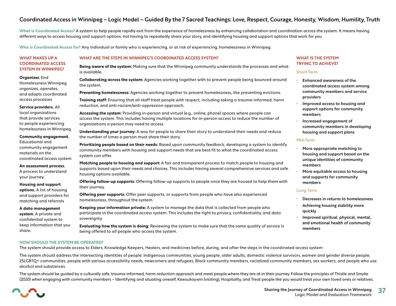#### Coordinated Access in Winnipeg – Logic Model – Guided By the 7 Sacred Teachings: Love, Respect, Courage, Honesty, Wisdom, Humility, Truth

What is Coordinated Access? A system to help people rapidly exit from the experience of homelessness by enhancing collaboration and coordination across the system. It means having different ways to access housing and support options, not having to repeatedly share your story, and identifying housing and support options that work for you.

**Who is Coordinated Access for?** Any individual or family who is experiencing, or at risk of experiencing, homelessness in Winnipeg.

#### **WHAT MAKES UP A COORDINATED ACCESS SYSTEM IN WINNIPEG?**

#### **Organizer.** End

Homelessness Winnipeg organizes, operates, and adapts coordinated access processes

#### **Service providers.** All

local organizations that provide services to people experiencing homelessness in Winnipeg

#### **Community engagement.**

Educational and community engagement materials on the coordinated access system

#### **An assessment process.**  A process to understand

your journey. **Housing and support** 

**options.** A list of housing and support providers for matching and referrals

**A data management system.** A private and confidential system to keep information that you

#### **WHAT ARE THE STEPS IN WINNIPEG'S COORDINATED ACCESS SYSTEM?**

**Being aware of the system:** Making sure that the Winnipeg community understands the processes and what is available.

**Collaborating across the system:** Agencies working together with to prevent people being bounced around the system.

**Preventing homelessness:** Agencies working together to prevent homelessness, like preventing evictions.

**Training staff:** Ensuring that all staff treat people with respect, including taking a trauma-informed, harm reduction, and anti-racism/anti-oppression approach.

**Accessing the system:** Providing in-person and virtual (e.g., online, phone) spaces where people can access the system. This includes having multiple locations for in-person access to reduce the number of organizations a person may need to access.

**Understanding your journey:** A way for people to share their story to understand their needs and reduce the number of times a person must share their story.

**Prioritizing people based on their needs:** Based upon community feedback, developing a system to identify community members with housing and support needs that are best fit to what the coordinated access system can offer.

**Matching people to housing and support:** A fair and transparent process to match people to housing and supports based upon their needs and choices. This includes having several comprehensive services and safe housing options available.

**Offering follow-up supports:** Offering follow-up supports to people once they are housed to help them with their journey.

**Offering peer supports:** Offer peer supports, or supports from people who have also experienced homelessness, throughout the system.

**Keeping your information private:** A system to manage the data that is collected from people who participate in the coordinated access system. This includes the right to privacy, confidentiality, and data sovereignty.

**Evaluating how the system is doing:** Reviewing the system to make sure that the same quality of service Is being offered to all people who access the system.

#### **WHAT IS THE SYSTEM TRYING TO ACHIEVE?**

#### Short-Term

- **•** Enhanced awareness of the coordinated access system among community members and service providers
- **•** Improved access to housing and support options for community members
- **•** Increased engagement of community members in developing housing and support plans

#### Mid-Term

- **•** More appropriate matching to housing and support based on the unique identities of community members
- **•** More equitable access to housing and supports for community members

#### Long-Term

- **•** Decreases in returns to homelessness
- **•** Achieving housing stability more quickly
- **•** Improved spiritual, physical, mental, and emotional health of community members

#### **HOW SHOULD THE SYSTEM BE OPERATED?**

The system should provide access to Elders, Knowledge Keepers, Healers, and medicines before, during, and after the steps in the coordinated access system

The system should address the intersecting identities of people: Indigenous communities, young people, older adults, domestic violence survivors, women and gender diverse people, 2SLGBTQ+ communities, people with various accessibility needs, newcomers and refugees, Black community members, racialized community members, sex workers, and people who use alcohol and substances

The system should be guided by a culturally safe, trauma-informed, harm reduction approach and meet people where they are at in their journey. Follow the principles of Thistle and Smylie (2020) when engaging with community members – Identifying and situating oneself, Keeoukaywin (visiting), Hospitality, and Treat people like you would treat your own loved ones or relatives.



share.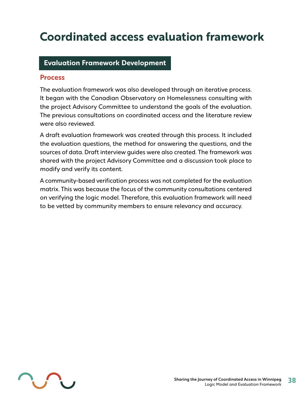# <span id="page-37-0"></span>**Coordinated access evaluation framework**

### **Evaluation Framework Development**

#### **Process**

The evaluation framework was also developed through an iterative process. It began with the Canadian Observatory on Homelessness consulting with the project Advisory Committee to understand the goals of the evaluation. The previous consultations on coordinated access and the literature review were also reviewed.

A draft evaluation framework was created through this process. It included the evaluation questions, the method for answering the questions, and the sources of data. Draft interview guides were also created. The framework was shared with the project Advisory Committee and a discussion took place to modify and verify its content.

A community-based verification process was not completed for the evaluation matrix. This was because the focus of the community consultations centered on verifying the logic model. Therefore, this evaluation framework will need to be vetted by community members to ensure relevancy and accuracy.

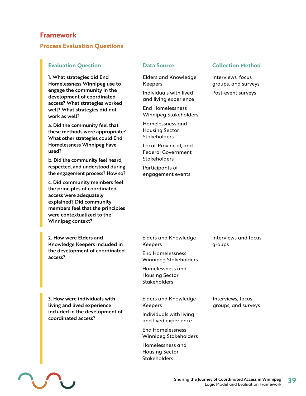### **Framework**

#### **Process Evaluation Questions**

#### **Evaluation Question Data Source Collection Method**

1. What strategies did End Homelessness Winnipeg use to engage the community in the development of coordinated access? What strategies worked well? What strategies did not work as well?

a. Did the community feel that these methods were appropriate? What other strategies could End Homelessness Winnipeg have used?

b. Did the community feel heard, respected, and understood during the engagement process? How so?

c. Did community members feel the principles of coordinated access were adequately explained? Did community members feel that the principles were contextualized to the Winnipeg context?

2. How were Elders and Knowledge Keepers included in the development of coordinated access?

3. How were individuals with living and lived experience included in the development of coordinated access?

Elders and Knowledge Keepers

Individuals with lived and living experience

End Homelessness Winnipeg Stakeholders

Homelessness and Housing Sector **Stakeholders** 

Local, Provincial, and Federal Government **Stakeholders** 

Participants of engagement events

#### Elders and Knowledge Keepers

End Homelessness Winnipeg Stakeholders

Homelessness and Housing Sector **Stakeholders** 

Elders and Knowledge Keepers

Individuals with living and lived experience

End Homelessness Winnipeg Stakeholders

Homelessness and Housing Sector **Stakeholders** 

Interviews, focus groups, and surveys

Post-event surveys



Interviews and focus

Interviews, focus groups, and surveys

groups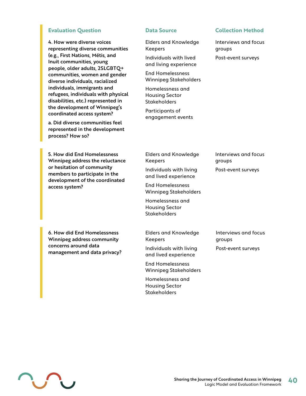#### **Evaluation Question Data Source Collection Method**

4. How were diverse voices representing diverse communities (e.g., First Nations, Métis, and Inuit communities, young people, older adults, 2SLGBTQ+ communities, women and gender diverse individuals, racialized individuals, immigrants and refugees, individuals with physical disabilities, etc.) represented in the development of Winnipeg's coordinated access system?

a. Did diverse communities feel represented in the development process? How so?

5. How did End Homelessness Winnipeg address the reluctance or hesitation of community members to participate in the development of the coordinated access system?

Elders and Knowledge Keepers

Individuals with lived and living experience

End Homelessness Winnipeg Stakeholders

Homelessness and Housing Sector **Stakeholders** 

Participants of engagement events

Interviews and focus groups Post-event surveys

Elders and Knowledge Interviews and focus groups Post-event surveys

Individuals with living and lived experience

Keepers

End Homelessness Winnipeg Stakeholders

Homelessness and Housing Sector **Stakeholders** 

6. How did End Homelessness Winnipeg address community concerns around data management and data privacy? Elders and Knowledge Keepers

Individuals with living and lived experience

End Homelessness Winnipeg Stakeholders

Homelessness and Housing Sector **Stakeholders** 

Interviews and focus groups Post-event surveys

L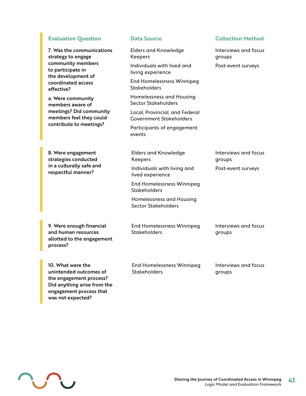#### **Evaluation Question Data Source Collection Method**

7. Was the communications strategy to engage community members to participate in the development of coordinated access effective?

a. Were community members aware of meetings? Did community members feel they could contribute to meetings?

8. Were engagement strategies conducted in a culturally safe and respectful manner?

- Elders and Knowledge Keepers
- Individuals with lived and living experience

End Homelessness Winnipeg **Stakeholders** 

Homelessness and Housing Sector Stakeholders

Local, Provincial, and Federal Government Stakeholders

Participants of engagement events

Elders and Knowledge Keepers Individuals with living and

lived experience End Homelessness Winnipeg **Stakeholders** 

Homelessness and Housing Sector Stakeholders

9. Were enough financial and human resources allotted to the engagement process?

End Homelessness Winnipeg **Stakeholders** 

groups Post-event surveys

Interviews and focus

Interviews and focus

Post-event surveys

groups

groups

10. What were the unintended outcomes of the engagement process? Did anything arise from the engagement process that was not expected?

End Homelessness Winnipeg **Stakeholders** 

Interviews and focus groups

Interviews and focus

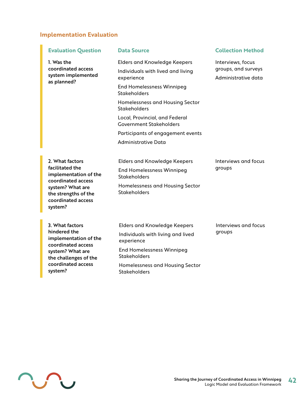#### **Implementation Evaluation**

| <b>Evaluation Question</b>                                                                                                                                     | <b>Data Source</b>                                                                     | <b>Collection Method</b>                                        |
|----------------------------------------------------------------------------------------------------------------------------------------------------------------|----------------------------------------------------------------------------------------|-----------------------------------------------------------------|
| 1. Was the<br>coordinated access<br>system implemented<br>as planned?                                                                                          | <b>Elders and Knowledge Keepers</b><br>Individuals with lived and living<br>experience | Interviews, focus<br>groups, and surveys<br>Administrative data |
|                                                                                                                                                                | <b>End Homelessness Winnipeg</b><br>Stakeholders                                       |                                                                 |
|                                                                                                                                                                | Homelessness and Housing Sector<br>Stakeholders                                        |                                                                 |
|                                                                                                                                                                | Local, Provincial, and Federal<br><b>Government Stakeholders</b>                       |                                                                 |
|                                                                                                                                                                | Participants of engagement events                                                      |                                                                 |
|                                                                                                                                                                | <b>Administrative Data</b>                                                             |                                                                 |
| 2. What factors<br>facilitated the<br>implementation of the<br>coordinated access<br>system? What are<br>the strengths of the<br>coordinated access<br>system? | <b>Elders and Knowledge Keepers</b><br><b>End Homelessness Winnipeg</b>                | Interviews and focus<br>groups                                  |
|                                                                                                                                                                | <b>Stakeholders</b>                                                                    |                                                                 |
|                                                                                                                                                                | Homelessness and Housing Sector<br><b>Stakeholders</b>                                 |                                                                 |
| 3. What factors<br>hindered the<br>implementation of the<br>coordinated access<br>system? What are<br>the challenges of the                                    | <b>Elders and Knowledge Keepers</b>                                                    | Interviews and focus<br>groups                                  |
|                                                                                                                                                                | Individuals with living and lived<br>experience                                        |                                                                 |
|                                                                                                                                                                | <b>End Homelessness Winnipeg</b><br><b>Stakeholders</b>                                |                                                                 |

Homelessness and Housing Sector

Stakeholders



coordinated access

system?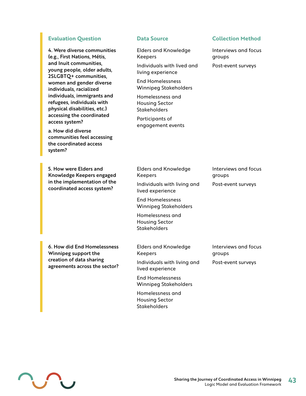#### **Evaluation Question Data Source Collection Method**

4. Were diverse communities (e.g., First Nations, Métis, and Inuit communities, young people, older adults, 2SLGBTQ+ communities, women and gender diverse individuals, racialized individuals, immigrants and refugees, individuals with physical disabilities, etc.) accessing the coordinated access system?

a. How did diverse communities feel accessing the coordinated access system?

5. How were Elders and Knowledge Keepers engaged in the implementation of the coordinated access system?

6. How did End Homelessness Winnipeg support the creation of data sharing agreements across the sector?

Elders and Knowledge Keepers

Individuals with lived and living experience

End Homelessness Winnipeg Stakeholders

Homelessness and Housing Sector **Stakeholders** 

Participants of engagement events

Interviews and focus groups

Post-event surveys

Elders and Knowledge Keepers Individuals with living and lived experience

End Homelessness Winnipeg Stakeholders

Homelessness and Housing Sector **Stakeholders** 

Elders and Knowledge Keepers

Individuals with living and lived experience

End Homelessness Winnipeg Stakeholders

Homelessness and Housing Sector **Stakeholders** 

Interviews and focus groups

Post-event surveys

Interviews and focus groups Post-event surveys

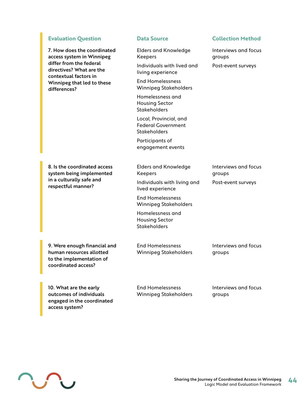#### **Evaluation Question Data Source Collection Method**

7. How does the coordinated access system in Winnipeg differ from the federal directives? What are the contextual factors in Winnipeg that led to these differences?

Elders and Knowledge Keepers

Individuals with lived and living experience

End Homelessness Winnipeg Stakeholders

Homelessness and Housing Sector **Stakeholders** 

Local, Provincial, and Federal Government **Stakeholders** 

Participants of engagement events

8. Is the coordinated access system being implemented in a culturally safe and respectful manner?

Elders and Knowledge Keepers

Individuals with living and lived experience

End Homelessness Winnipeg Stakeholders

Homelessness and Housing Sector **Stakeholders** 

9. Were enough financial and human resources allotted to the implementation of coordinated access?

End Homelessness Winnipeg Stakeholders Interviews and focus groups

Interviews and focus

Post-event surveys

groups

10. What are the early outcomes of individuals engaged in the coordinated access system?

End Homelessness Winnipeg Stakeholders Interviews and focus groups



Interviews and focus groups

Post-event surveys

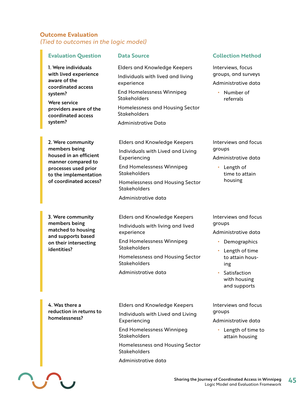#### **Outcome Evaluation** *(Tied to outcomes in the logic model)*

#### **Evaluation Question Data Source Collection Method**

1. Were individuals with lived experience aware of the coordinated access system?

Were service providers aware of the coordinated access system?

Elders and Knowledge Keepers Individuals with lived and living experience End Homelessness Winnipeg **Stakeholders** Homelessness and Housing Sector Stakeholders Administrative Data

2. Were community members being housed in an efficient manner compared to processes used prior to the implementation of coordinated access? Elders and Knowledge Keepers Individuals with Lived and Living Experiencing End Homelessness Winnipeg Stakeholders Homelessness and Housing Sector **Stakeholders** 

Administrative data

3. Were community members being matched to housing and supports based on their intersecting identities?

Elders and Knowledge Keepers Individuals with living and lived experience

End Homelessness Winnipeg Stakeholders

Homelessness and Housing Sector Stakeholders

Administrative data

4. Was there a reduction in returns to homelessness?

IN

Elders and Knowledge Keepers

Individuals with Lived and Living Experiencing

End Homelessness Winnipeg Stakeholders

Homelessness and Housing Sector **Stakeholders** 

Administrative data

Interviews, focus groups, and surveys Administrative data

**•** Number of referrals

Interviews and focus groups

Administrative data

**•** Length of time to attain housing

Interviews and focus groups

Administrative data

- **•** Demographics
- **•** Length of time to attain housing
- **•** Satisfaction with housing and supports

Interviews and focus groups

Administrative data

**•** Length of time to attain housing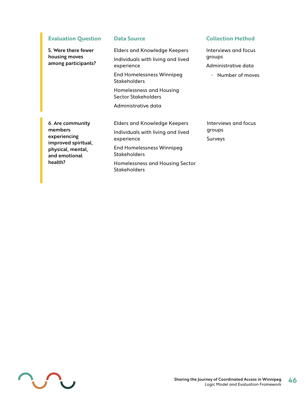**Evaluation Question Data Source Collection Method** 

5. Were there fewer housing moves among participants?

#### Elders and Knowledge Keepers Individuals with living and lived experience

End Homelessness Winnipeg **Stakeholders** 

Homelessness and Housing Sector Stakeholders

Administrative data

6. Are community members experiencing improved spiritual, physical, mental, and emotional health?

Elders and Knowledge Keepers Individuals with living and lived experience End Homelessness Winnipeg **Stakeholders** Homelessness and Housing Sector **Stakeholders** 

Interviews and focus groups Administrative data

**•** Number of moves

Interviews and focus groups Surveys

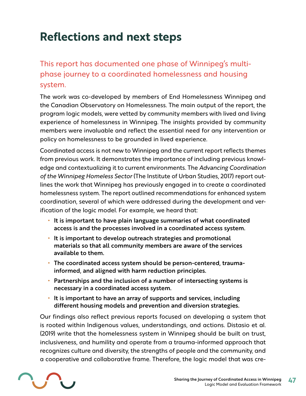# <span id="page-46-0"></span>**Reflections and next steps**

# This report has documented one phase of Winnipeg's multiphase journey to a coordinated homelessness and housing system.

The work was co-developed by members of End Homelessness Winnipeg and the Canadian Observatory on Homelessness. The main output of the report, the program logic models, were vetted by community members with lived and living experience of homelessness in Winnipeg. The insights provided by community members were invaluable and reflect the essential need for any intervention or policy on homelessness to be grounded in lived experience.

Coordinated access is not new to Winnipeg and the current report reflects themes from previous work. It demonstrates the importance of including previous knowledge and contextualizing it to current environments. The *Advancing Coordination of the Winnipeg Homeless Sector* (The Institute of Urban Studies, 2017) report outlines the work that Winnipeg has previously engaged in to create a coordinated homelessness system. The report outlined recommendations for enhanced system coordination, several of which were addressed during the development and verification of the logic model. For example, we heard that:

- **•** It is important to have plain language summaries of what coordinated access is and the processes involved in a coordinated access system.
- **•** It is important to develop outreach strategies and promotional materials so that all community members are aware of the services available to them.
- **•** The coordinated access system should be person-centered, traumainformed, and aligned with harm reduction principles.
- **•** Partnerships and the inclusion of a number of intersecting systems is necessary in a coordinated access system.
- **•** It is important to have an array of supports and services, including different housing models and prevention and diversion strategies.

Our findings also reflect previous reports focused on developing a system that is rooted within Indigenous values, understandings, and actions. Distasio et al. (2019) write that the homelessness system in Winnipeg should be built on trust, inclusiveness, and humility and operate from a trauma-informed approach that recognizes culture and diversity, the strengths of people and the community, and a cooperative and collaborative frame. Therefore, the logic model that was cre-

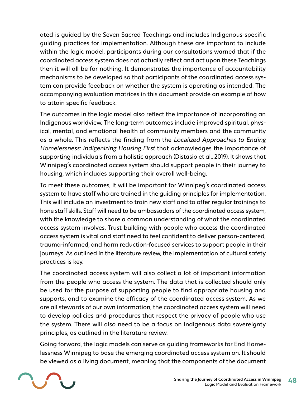ated is guided by the Seven Sacred Teachings and includes Indigenous-specific guiding practices for implementation. Although these are important to include within the logic model, participants during our consultations warned that if the coordinated access system does not actually reflect and act upon these Teachings then it will all be for nothing. It demonstrates the importance of accountability mechanisms to be developed so that participants of the coordinated access system can provide feedback on whether the system is operating as intended. The accompanying evaluation matrices in this document provide an example of how to attain specific feedback.

The outcomes in the logic model also reflect the importance of incorporating an Indigenous worldview. The long-term outcomes include improved spiritual, physical, mental, and emotional health of community members and the community as a whole. This reflects the finding from the *Localized Approaches to Ending Homelessness: Indigenizing Housing First* that acknowledges the importance of supporting individuals from a holistic approach (Distasio et al., 2019). It shows that Winnipeg's coordinated access system should support people in their journey to housing, which includes supporting their overall well-being.

To meet these outcomes, it will be important for Winnipeg's coordinated access system to have staff who are trained in the guiding principles for implementation. This will include an investment to train new staff and to offer regular trainings to hone staff skills. Staff will need to be ambassadors of the coordinated access system, with the knowledge to share a common understanding of what the coordinated access system involves. Trust building with people who access the coordinated access system is vital and staff need to feel confident to deliver person-centered, trauma-informed, and harm reduction-focused services to support people in their journeys. As outlined in the literature review, the implementation of cultural safety practices is key.

The coordinated access system will also collect a lot of important information from the people who access the system. The data that is collected should only be used for the purpose of supporting people to find appropriate housing and supports, and to examine the efficacy of the coordinated access system. As we are all stewards of our own information, the coordinated access system will need to develop policies and procedures that respect the privacy of people who use the system. There will also need to be a focus on Indigenous data sovereignty principles, as outlined in the literature review.

Going forward, the logic models can serve as guiding frameworks for End Homelessness Winnipeg to base the emerging coordinated access system on. It should be viewed as a living document, meaning that the components of the document

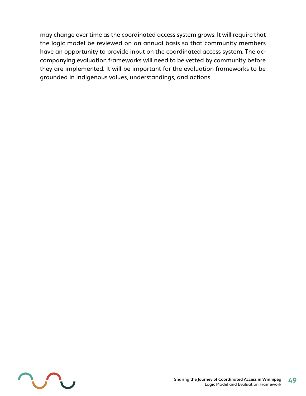may change over time as the coordinated access system grows. It will require that the logic model be reviewed on an annual basis so that community members have an opportunity to provide input on the coordinated access system. The accompanying evaluation frameworks will need to be vetted by community before they are implemented. It will be important for the evaluation frameworks to be grounded in Indigenous values, understandings, and actions.

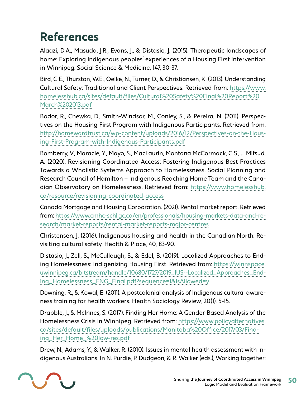# <span id="page-49-0"></span>**References**

Alaazi, D.A., Masuda, J.R., Evans, J., & Distasio, J. (2015). Therapeutic landscapes of home: Exploring Indigenous peoples' experiences of a Housing First intervention in Winnipeg. Social Science & Medicine, 147, 30-37.

Bird, C.E., Thurston, W.E., Oelke, N., Turner, D., & Christiansen, K. (2013). Understanding Cultural Safety: Traditional and Client Perspectives. Retrieved from: https://www. homelesshub.ca/sites/default/files/Cultural%20Safety%20Final%20Report%20 March%202013.pdf

Bodor, R., Chewka, D., Smith-Windsor, M., Conley, S., & Pereira, N. (2011). Perspectives on the Housing First Program with Indigenous Participants. Retrieved from: http://homewardtrust.ca/wp-content/uploads/2016/12/Perspectives-on-the-Housing-First-Program-with-Indigenous-Participants.pdf

Bomberry, V., Maracle, Y., Mayo, S., MacLaurin, Montana McCormack, C.S., … Mifsud, A. (2020). Revisioning Coordinated Access: Fostering Indigenous Best Practices Towards a Wholistic Systems Approach to Homelessness. Social Planning and Research Council of Hamilton – Indigenous Reaching Home Team and the Canadian Observatory on Homelessness. Retrieved from: https://www.homelesshub. ca/resource/revisioning-coordinated-access

Canada Mortgage and Housing Corporation. (2021). Rental market report. Retrieved from: https://www.cmhc-schl.gc.ca/en/professionals/housing-markets-data-and-research/market-reports/rental-market-reports-major-centres

Christensen, J. (2016). Indigenous housing and health in the Canadian North: Revisiting cultural safety. Health & Place, 40, 83-90.

Distasio, J., Zell, S., McCullough, S., & Edel, B. (2019). Localized Approaches to Ending Homelessness: Indigenizing Housing First. Retrieved from: https://winnspace. uwinnipeg.ca/bitstream/handle/10680/1727/2019\_IUS--Localized\_Approaches\_Ending\_Homelessness\_ENG\_Final.pdf?sequence=1&isAllowed=y

Downing, R., & Kowal, E. (2011). A postcolonial analysis of Indigenous cultural awareness training for health workers. Health Sociology Review, 20(1), 5-15.

Drabble, J., & McInnes, S. (2017). Finding Her Home: A Gender-Based Analysis of the Homelessness Crisis in Winnipeg. Retrieved from: https://www.policyalternatives. ca/sites/default/files/uploads/publications/Manitoba%20Office/2017/03/Finding\_Her\_Home\_%20low-res.pdf

Drew, N., Adams, Y., & Walker, R. (2010). Issues in mental health assessment with Indigenous Australians. In N. Purdie, P. Dudgeon, & R. Walker (eds.), Working together:

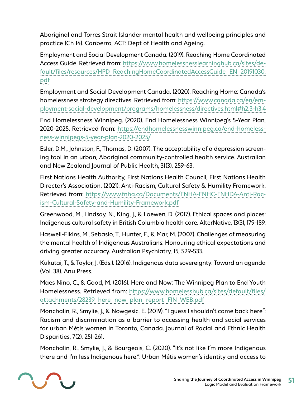Aboriginal and Torres Strait Islander mental health and wellbeing principles and practice (Ch 14). Canberra, ACT: Dept of Health and Ageing.

Employment and Social Development Canada. (2019). Reaching Home Coordinated Access Guide. Retrieved from: https://www.homelessnesslearninghub.ca/sites/default/files/resources/HPD\_ReachingHomeCoordinatedAccessGuide\_EN\_20191030. pdf

Employment and Social Development Canada. (2020). Reaching Home: Canada's homelessness strategy directives. Retrieved from: https://www.canada.ca/en/employment-social-development/programs/homelessness/directives.html#h2.3-h3.4

End Homelessness Winnipeg. (2020). End Homelessness Winnipeg's 5-Year Plan, 2020-2025. Retrieved from: https://endhomelessnesswinnipeg.ca/end-homelessness-winnipegs-5-year-plan-2020-2025/

Esler, D.M., Johnston, F., Thomas, D. (2007). The acceptability of a depression screening tool in an urban, Aboriginal community-controlled health service. Australian and New Zealand Journal of Public Health, 31(3), 259-63.

First Nations Health Authority, First Nations Health Council, First Nations Health Director's Association. (2021). Anti-Racism, Cultural Safety & Humility Framework. Retrieved from: https://www.fnha.ca/Documents/FNHA-FNHC-FNHDA-Anti-Racism-Cultural-Safety-and-Humility-Framework.pdf

Greenwood, M., Lindsay, N., King, J., & Loewen, D. (2017). Ethical spaces and places: Indigenous cultural safety in British Columbia health care. AlterNative, 13(3), 179-189.

Haswell-Elkins, M., Sebasio, T., Hunter, E., & Mar, M. (2007). Challenges of measuring the mental health of Indigenous Australians: Honouring ethical expectations and driving greater accuracy. Australian Psychiatry, 15, S29-S33.

Kukutai, T., & Taylor, J. (Eds.). (2016). Indigenous data sovereignty: Toward an agenda (Vol. 38). Anu Press.

Maes Nino, C., & Good, M. (2016). Here and Now: The Winnipeg Plan to End Youth Homelessness. Retrieved from: https://www.homelesshub.ca/sites/default/files/ attachments/28239\_here\_now\_plan\_report\_FIN\_WEB.pdf

Monchalin, R., Smylie, J., & Nowgesic, E. (2019). "I guess I shouldn't come back here": Racism and discrimination as a barrier to accessing health and social services for urban Métis women in Toronto, Canada. Journal of Racial and Ethnic Health Disparities, 7(2), 251-261.

Monchalin, R., Smylie, J., & Bourgeois, C. (2020). "It's not like I'm more Indigenous there and I'm less Indigenous here.": Urban Métis women's identity and access to